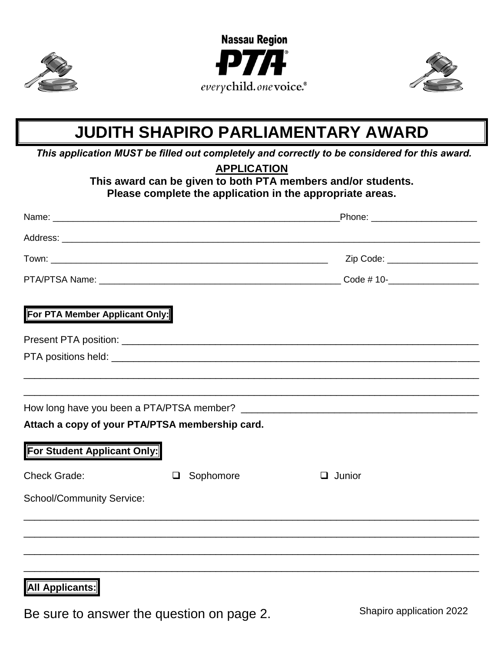





## **JUDITH SHAPIRO PARLIAMENTARY AWARD**

*This application MUST be filled out completely and correctly to be considered for this award.*

**APPLICATION**

**This award can be given to both PTA members and/or students. Please complete the application in the appropriate areas.**

|                                                 |           | _Phone: _________________________ |
|-------------------------------------------------|-----------|-----------------------------------|
|                                                 |           |                                   |
|                                                 |           | Zip Code: ____________________    |
|                                                 |           |                                   |
| For PTA Member Applicant Only:                  |           |                                   |
|                                                 |           |                                   |
|                                                 |           |                                   |
|                                                 |           |                                   |
|                                                 |           |                                   |
| Attach a copy of your PTA/PTSA membership card. |           |                                   |
| For Student Applicant Only:                     |           |                                   |
| <b>Check Grade:</b>                             | Sophomore | Junior<br>ப                       |
| <b>School/Community Service:</b>                |           |                                   |
|                                                 |           |                                   |
|                                                 |           |                                   |
|                                                 |           |                                   |

## **All Applicants:**

Be sure to answer the question on page 2.